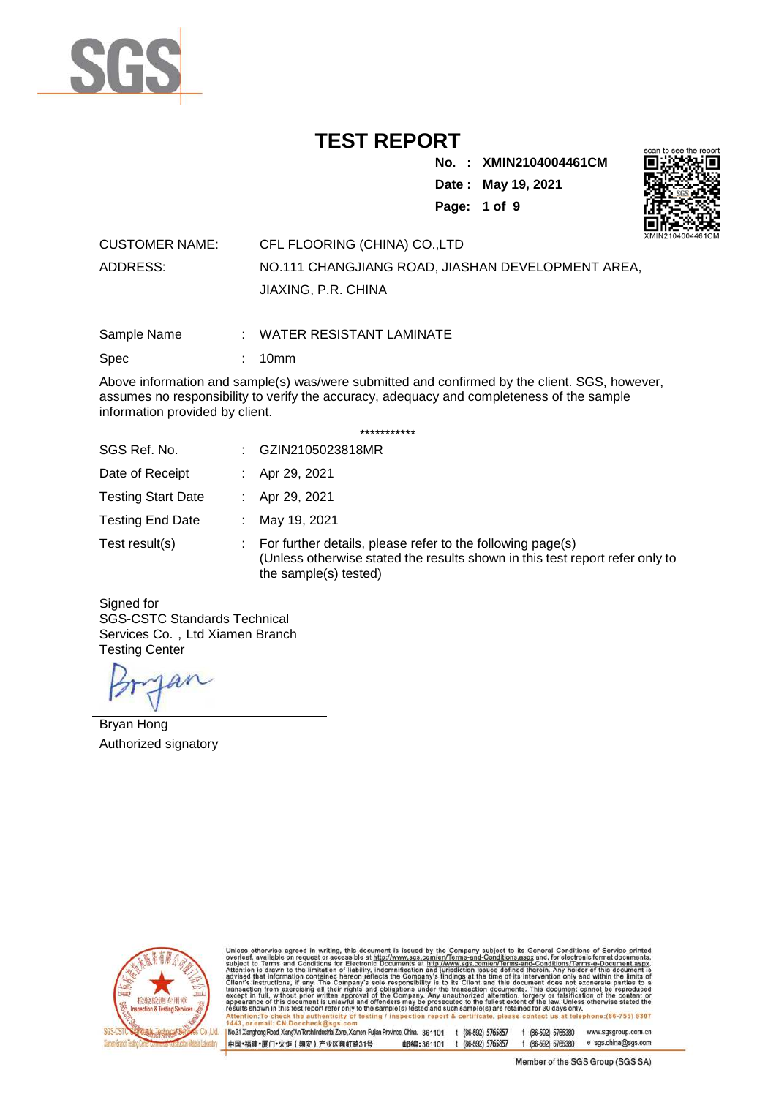

**No. : XMIN2104004461CM**

**Date : May 19, 2021**



**Page: 1 of 9** 

| <b>CUSTOMER NAME:</b> | CFL FLOORING (CHINA) CO.,LTD                      |  |
|-----------------------|---------------------------------------------------|--|
| ADDRESS:              | NO.111 CHANGJIANG ROAD. JIASHAN DEVELOPMENT AREA. |  |
|                       | JIAXING, P.R. CHINA                               |  |

Sample Name : WATER RESISTANT LAMINATE

Spec : 10mm

Above information and sample(s) was/were submitted and confirmed by the client. SGS, however, assumes no responsibility to verify the accuracy, adequacy and completeness of the sample information provided by client.

| SGS Ref. No.              |    | GZIN2105023818MR                                                                                                                                                    |  |  |
|---------------------------|----|---------------------------------------------------------------------------------------------------------------------------------------------------------------------|--|--|
| Date of Receipt           |    | Apr 29, 2021                                                                                                                                                        |  |  |
| <b>Testing Start Date</b> |    | Apr 29, 2021                                                                                                                                                        |  |  |
| <b>Testing End Date</b>   | ÷. | May 19, 2021                                                                                                                                                        |  |  |
| Test result(s)            |    | For further details, please refer to the following page(s)<br>(Unless otherwise stated the results shown in this test report refer only to<br>the sample(s) tested) |  |  |

Signed for SGS-CSTC Standards Technical Services Co., Ltd Xiamen Branch Testing Center

an

Bryan Hong Authorized signatory



otherwise agreed in writing, this document is issued by the Company subject to its General Conditions of Service<br>is available on request or accessible at http://www.sgs.com/en/Terms-and-Conditions.aspx and, for electronic sub<br>Atte advised<br>Client's  $\frac{10}{10}$  a nt's instructions,<br>saction from exercitions,<br>ept in full, withou this document does no<br>cuments. This docume<br>pration, forgery or falsit<br>set sytem of the law. Un<br>re retained for 30 days o .eu aneranon, roi<br>he fullest extent o<br>ple(s) are retained appearance<br>results show document is unli<br>is test report refei awrui anu<br>roniv to th d such sa (86-755) 8307

No.31 Xianghong Road, Xiang'An Torch Industrial Zone, Xiamen, Fujian Province, China. 361101 t (86-592) 5765857 f (86-592) 5765380 www.sgsgroup.com.cn f (86-592) 5765380 e sgs.china@sgs.com 中国·福建·厦门·火炬 (翔安) 产业区翔虹路31号 邮编:361101 t (86-592) 5765857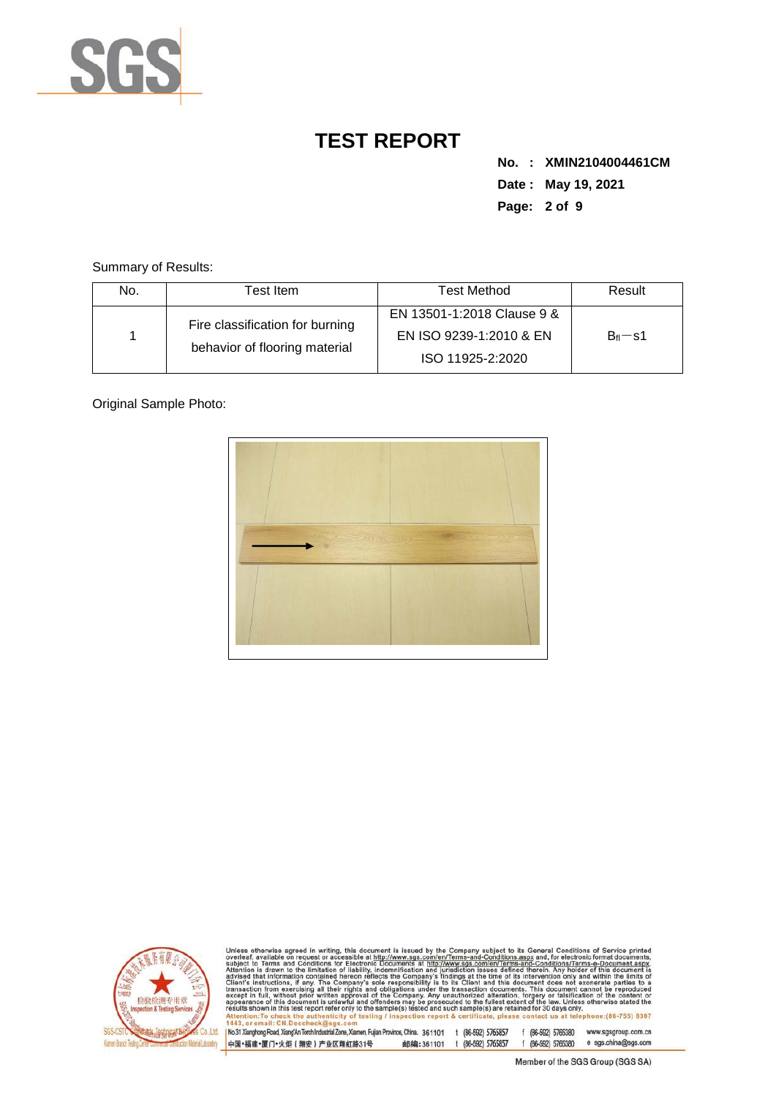

**No. : XMIN2104004461CM Date : May 19, 2021 Page: 2 of 9** 

Summary of Results:

| No. | Test Item.                                                       | Test Method                                                               | Result     |
|-----|------------------------------------------------------------------|---------------------------------------------------------------------------|------------|
|     | Fire classification for burning<br>behavior of flooring material | EN 13501-1:2018 Clause 9 &<br>EN ISO 9239-1:2010 & EN<br>ISO 11925-2:2020 | $B_f = s1$ |

Original Sample Photo:





Unless otherwise agreed in writing, this document is issued by the Company subject to its General Conditions of Service printed overleaf, available on request or accessible at http://www.sgs.com/en/Terms-and-Conditions.as

No.31 Xianghong Road, Xiang/An Torch Industrial Zone, Xiamen, Fujian Province, China. 361101 t (86-592) 5765857 f (86-592) 5765380 www.sgsgroup.com.cn 邮编:361101 t (86-592) 5765857 f (86-592) 5765380 e sgs.china@sgs.com 中国·福建·厦门·火炬 (翔安) 产业区翔虹路31号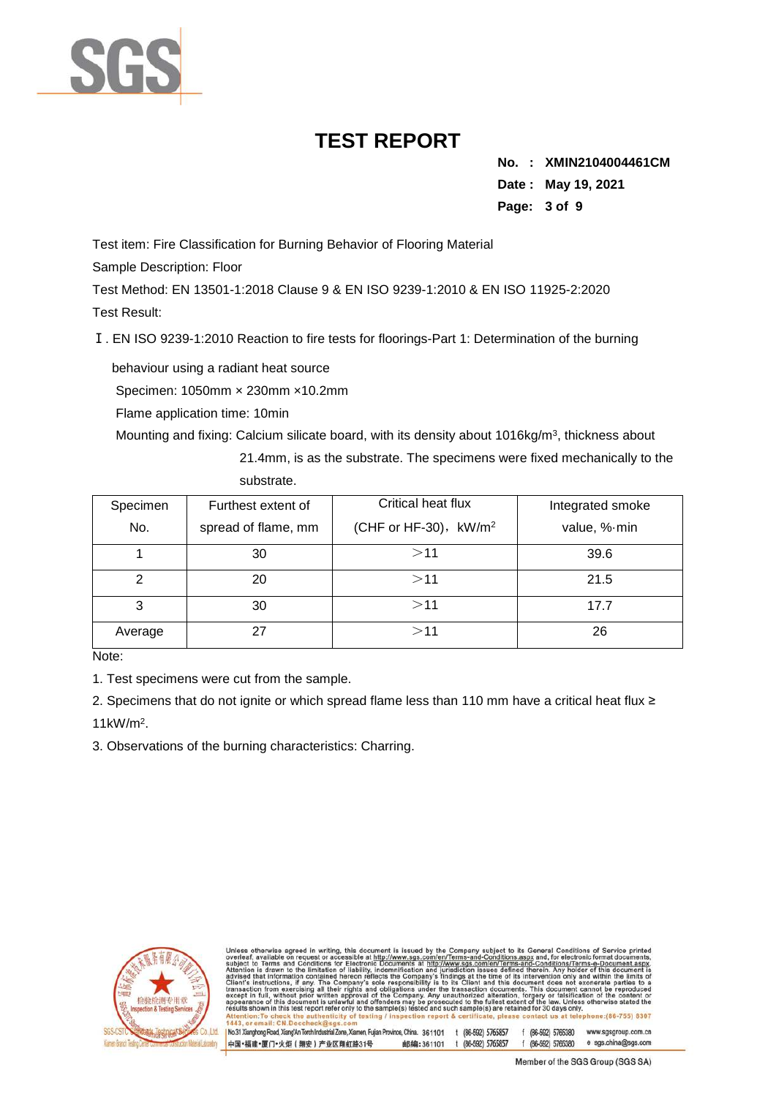

**No. : XMIN2104004461CM Date : May 19, 2021 Page: 3 of 9** 

Test item: Fire Classification for Burning Behavior of Flooring Material

Sample Description: Floor

Test Method: EN 13501-1:2018 Clause 9 & EN ISO 9239-1:2010 & EN ISO 11925-2:2020 Test Result:

Ⅰ. EN ISO 9239-1:2010 Reaction to fire tests for floorings-Part 1: Determination of the burning

behaviour using a radiant heat source Specimen: 1050mm × 230mm ×10.2mm

Flame application time: 10min

Mounting and fixing: Calcium silicate board, with its density about 1016kg/m<sup>3</sup>, thickness about

21.4mm, is as the substrate. The specimens were fixed mechanically to the substrate.

| Specimen | Furthest extent of  | Critical heat flux                | Integrated smoke |
|----------|---------------------|-----------------------------------|------------------|
| No.      | spread of flame, mm | (CHF or HF-30), kW/m <sup>2</sup> | value, % min     |
|          | 30                  | >11                               | 39.6             |
| 2        | 20                  | >11                               | 21.5             |
| 3        | 30                  | >11                               | 17.7             |
| Average  |                     | >11                               | 26               |

Note:

1. Test specimens were cut from the sample.

2. Specimens that do not ignite or which spread flame less than 110 mm have a critical heat flux ≥ 11kW/m<sup>2</sup> .

3. Observations of the burning characteristics: Charring.



otherwise agreed in writing, this document is issued by the Company subject to its General Conditions of Service, available on request or accessible at http://www.sgs.com/en/Terms-and-Conditions.aspx and, for electronic fo advised<br>Client's

No.31 Xianghong Road, Xiang'An Torch Industrial Zone, Xiamen, Fujian Province, China. 361101 t (86-592) 5765857 f (86-592) 5765380 www.sgsgroup.com.cn 邮编:361101 t (86-592) 5765857 f (86-592) 5765380 e sgs.china@sgs.com 中国·福建·厦门·火炬 (翔安) 产业区翔虹路31号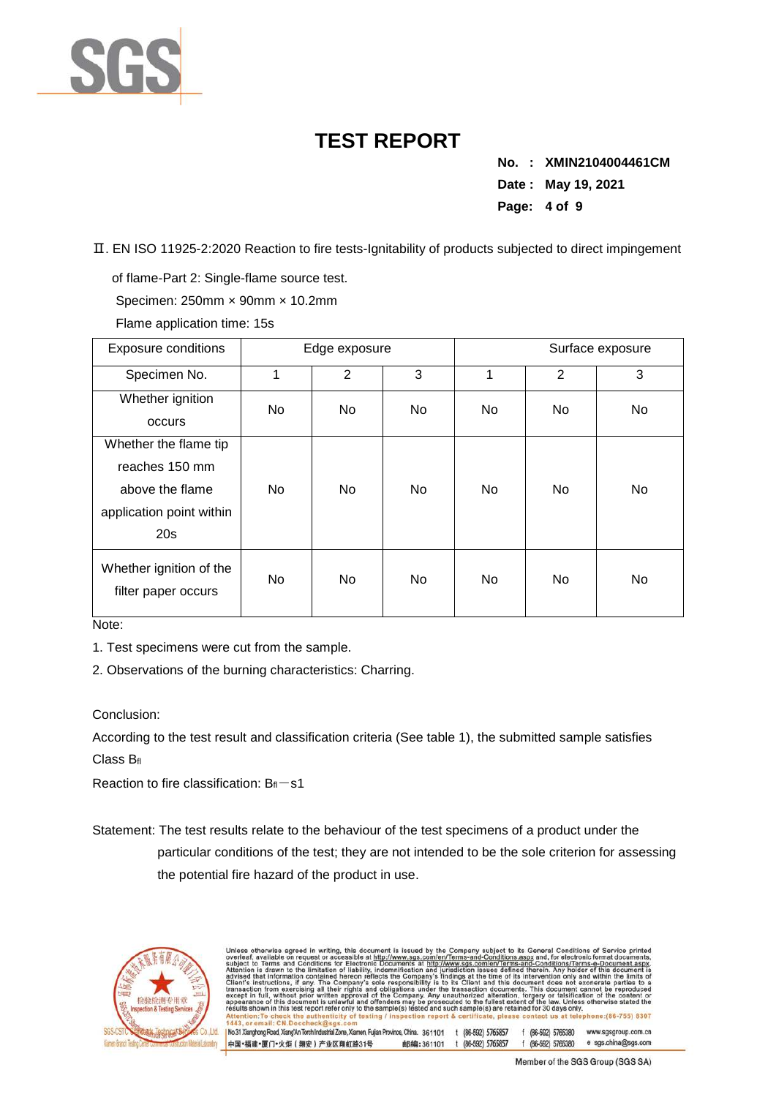

**No. : XMIN2104004461CM Date : May 19, 2021 Page: 4 of 9** 

Ⅱ. EN ISO 11925-2:2020 Reaction to fire tests-Ignitability of products subjected to direct impingement

of flame-Part 2: Single-flame source test.

Specimen: 250mm × 90mm × 10.2mm

Flame application time: 15s

| <b>Exposure conditions</b>                     |    | Edge exposure  |    |     | Surface exposure |     |  |
|------------------------------------------------|----|----------------|----|-----|------------------|-----|--|
| Specimen No.                                   | 4  | $\overline{2}$ | 3  | 1   | 2                | 3   |  |
| Whether ignition                               | No | No.            | No | No. | No               | No. |  |
| occurs                                         |    |                |    |     |                  |     |  |
| Whether the flame tip                          |    |                |    |     |                  |     |  |
| reaches 150 mm                                 |    |                |    |     |                  |     |  |
| above the flame                                | No | No.            | No | No  | No               | No  |  |
| application point within                       |    |                |    |     |                  |     |  |
| 20s                                            |    |                |    |     |                  |     |  |
| Whether ignition of the<br>filter paper occurs | No | <b>No</b>      | No | No  | No               | No  |  |

Note:

1. Test specimens were cut from the sample.

2. Observations of the burning characteristics: Charring.

#### Conclusion:

According to the test result and classification criteria (See table 1), the submitted sample satisfies Class B<sub>fl</sub>

Reaction to fire classification:  $B_{\text{fl}}$  -s1

Statement: The test results relate to the behaviour of the test specimens of a product under the particular conditions of the test; they are not intended to be the sole criterion for assessing the potential fire hazard of the product in use.



| overleaf, available on request or accessible at http://www.sgs.com/en/Terms-and-Conditions.aspx and, for electronic format documents,                                                                                                                                      |  |                  |                    | Unless otherwise agreed in writing, this document is issued by the Company subject to its General Conditions of Service printed |
|----------------------------------------------------------------------------------------------------------------------------------------------------------------------------------------------------------------------------------------------------------------------------|--|------------------|--------------------|---------------------------------------------------------------------------------------------------------------------------------|
| subject to Terms and Conditions for Electronic Documents at http://www.sgs.com/en/Terms-and-Conditions/Terms-e-Document.aspx.                                                                                                                                              |  |                  |                    |                                                                                                                                 |
| Attention is drawn to the limitation of liability, indemnification and jurisdiction issues defined therein. Any holder of this document is                                                                                                                                 |  |                  |                    |                                                                                                                                 |
| advised that information contained hereon reflects the Company's findings at the time of its intervention only and within the limits of                                                                                                                                    |  |                  |                    |                                                                                                                                 |
| Client's instructions, if any. The Company's sole responsibility is to its Client and this document does not exonerate parties to a                                                                                                                                        |  |                  |                    |                                                                                                                                 |
| transaction from exercising all their rights and obligations under the transaction documents. This document cannot be reproduced<br>except in full, without prior written approval of the Company. Any unauthorized alteration, forgery or falsification of the content or |  |                  |                    |                                                                                                                                 |
| appearance of this document is unlawful and offenders may be prosecuted to the fullest extent of the law. Unless otherwise stated the                                                                                                                                      |  |                  |                    |                                                                                                                                 |
| results shown in this test report refer only to the sample(s) tested and such sample(s) are retained for 30 days only.                                                                                                                                                     |  |                  |                    |                                                                                                                                 |
| Attention: To check the authenticity of testing / inspection report & certificate, please contact us at telephone: (86-755) 8307                                                                                                                                           |  |                  |                    |                                                                                                                                 |
|                                                                                                                                                                                                                                                                            |  |                  |                    |                                                                                                                                 |
|                                                                                                                                                                                                                                                                            |  |                  |                    |                                                                                                                                 |
| 1443, or email: CN.Doccheck@sgs.com<br>No.31 Xianghong Road, Xiang'An Torch Industrial Zone, Xiamen, Fujian Province, China. 361101                                                                                                                                        |  | (86-592) 5765857 | f (86-592) 5765380 | www.sgsgroup.com.cn                                                                                                             |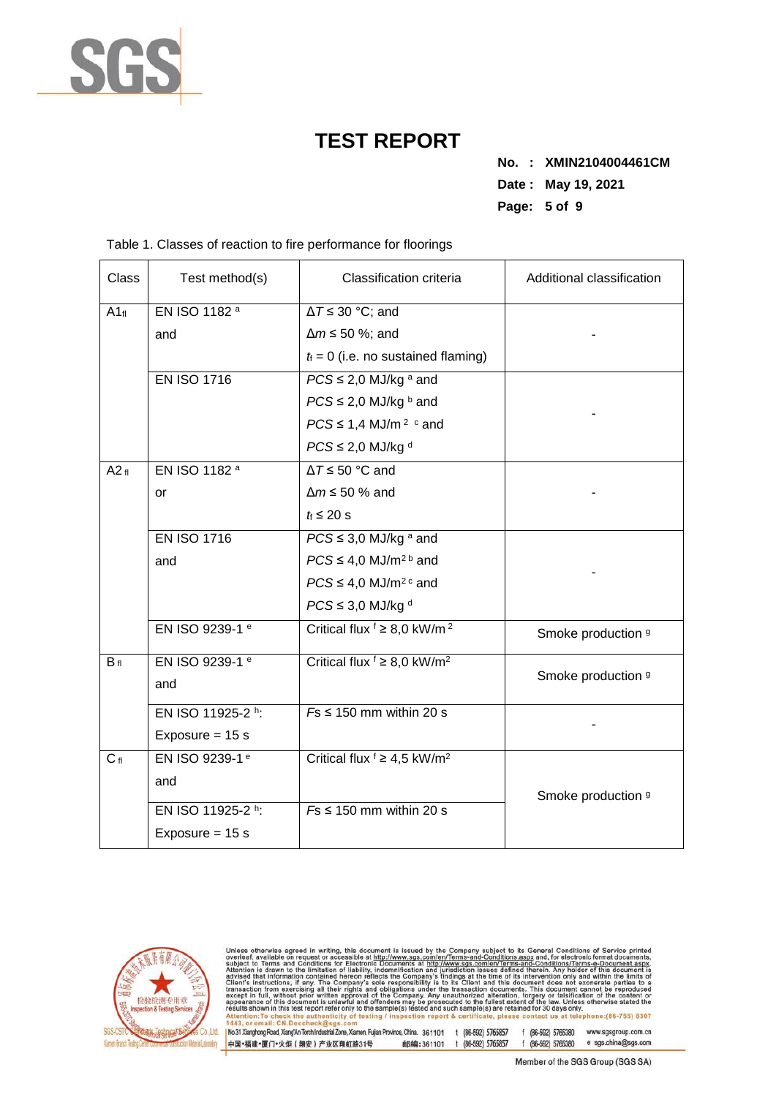

**No. : XMIN2104004461CM Date : May 19, 2021 Page: 5 of 9** 

| <b>Class</b> | Test method(s)             | Classification criteria                                | Additional classification |
|--------------|----------------------------|--------------------------------------------------------|---------------------------|
| $A1_{fl}$    | EN ISO 1182 a              | $\Delta T \leq 30$ °C; and                             |                           |
|              | and                        | $\Delta m \leq 50$ %; and                              |                           |
|              |                            | $t_i = 0$ (i.e. no sustained flaming)                  |                           |
|              | <b>EN ISO 1716</b>         | $PCS \leq 2.0$ MJ/kg a and                             |                           |
|              |                            | $PCS \leq 2.0$ MJ/kg $\frac{b}{c}$ and                 |                           |
|              |                            | $PCS \leq 1.4$ MJ/m <sup>2</sup> $\circ$ and           |                           |
|              |                            | $PCS \leq 2.0$ MJ/kg d                                 |                           |
| A2f          | EN ISO 1182 <sup>a</sup>   | $\Delta T \le 50$ °C and                               |                           |
|              | or                         | $\Delta m \le 50$ % and                                |                           |
|              |                            | $t_i \leq 20$ s                                        |                           |
|              | <b>EN ISO 1716</b>         | $PCS \leq 3.0$ MJ/kg $a$ and                           |                           |
|              | and                        | $PCS \leq 4.0$ MJ/m <sup>2b</sup> and                  |                           |
|              |                            | $PCS \leq 4.0$ MJ/m <sup>2 c</sup> and                 |                           |
|              |                            | $PCS \leq 3.0$ MJ/kg <sup>d</sup>                      |                           |
|              | EN ISO 9239-1 e            | Critical flux $f \geq 8.0$ kW/m <sup>2</sup>           | Smoke production 9        |
| $B_{fl}$     | EN ISO 9239-1 e            | Critical flux $f \geq 8.0$ kW/m <sup>2</sup>           |                           |
|              | and                        |                                                        | Smoke production 9        |
|              | EN ISO 11925-2 h:          | $Fs \leq 150$ mm within 20 s                           |                           |
|              | Exposure = $15 s$          |                                                        |                           |
| $C_{fl}$     | EN ISO 9239-1 <sup>e</sup> | Critical flux $\frac{1}{2} \geq 4.5$ kW/m <sup>2</sup> |                           |
|              | and                        |                                                        |                           |
|              | EN ISO 11925-2 h:          | $Fs \leq 150$ mm within 20 s                           | Smoke production 9        |
|              | Exposure = $15 s$          |                                                        |                           |
|              |                            |                                                        |                           |

Table 1. Classes of reaction to fire performance for floorings



Unless otherwise agreed in witling, this document is issued by the Company subject to its General Conditions of Service printed overleaf, available on request or accessible at http://www.sgs.com/en/Terms-and-Conditions.as

1443, or email: CN. Doccheck@isgs.com<br>|No.31 Xianghong Road, XiangAn Torch Industrial Zone, Xiamen, Fujian Province, China. 361101 t (86-592) 5765857 f (86-592) 5765380 www.sgsgroup.com.cn<br>|中国・福建•厦门•火炬(翔安)产业区翔虹路31号 - 邮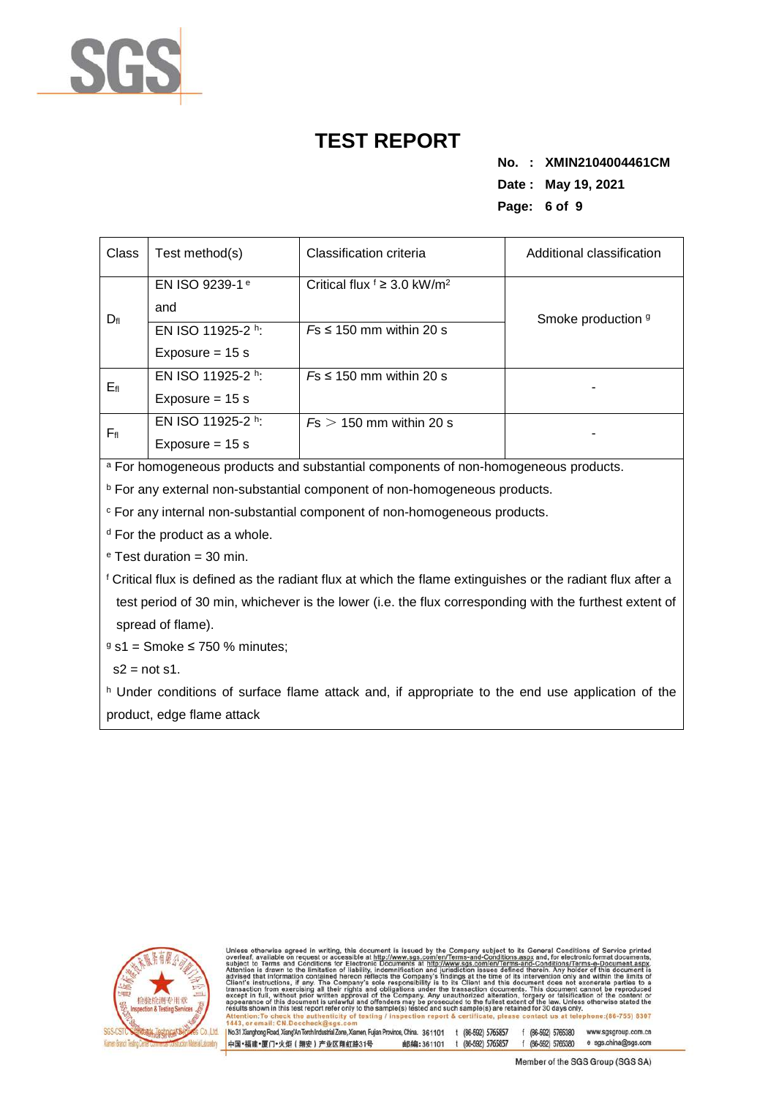

**No. : XMIN2104004461CM Date : May 19, 2021 Page: 6 of 9** 

| <b>Class</b>    | Test method(s)             | Classification criteria                      | Additional classification |  |  |
|-----------------|----------------------------|----------------------------------------------|---------------------------|--|--|
|                 | EN ISO 9239-1 <sup>e</sup> | Critical flux $f \geq 3.0$ kW/m <sup>2</sup> |                           |  |  |
| $D_{\text{fl}}$ | and                        |                                              | Smoke production 9        |  |  |
|                 | EN ISO 11925-2 h:          | $Fs \leq 150$ mm within 20 s                 |                           |  |  |
|                 | Exposure $= 15$ s          |                                              |                           |  |  |
|                 | EN ISO 11925-2 h:          | $Fs \leq 150$ mm within 20 s                 |                           |  |  |
| Efi             | Exposure $= 15$ s          |                                              |                           |  |  |
|                 | EN ISO 11925-2 h:          | $Fs > 150$ mm within 20 s                    |                           |  |  |
| $F_{\rm fl}$    | Exposure = $15 s$          |                                              |                           |  |  |

a For homogeneous products and substantial components of non-homogeneous products.

<sup>b</sup> For any external non-substantial component of non-homogeneous products.

c For any internal non-substantial component of non-homogeneous products.

<sup>d</sup> For the product as a whole.

e Test duration = 30 min.

f Critical flux is defined as the radiant flux at which the flame extinguishes or the radiant flux after a test period of 30 min, whichever is the lower (i.e. the flux corresponding with the furthest extent of spread of flame).

 $9 s1 =$  Smoke  $\leq 750 %$  minutes;

 $s2 = not s1$ .

h Under conditions of surface flame attack and, if appropriate to the end use application of the product, edge flame attack



otherwise agreed in writing, this document is issued by the Company subject to its General Conditions of Service<br>f, available on request or accessible at http://www.sgs.com/en/Terms-and-Conditions.aspx and, for electronic advised<br>Client's

No.31 Xianghong Road, Xiang/An Torch Industrial Zone, Xiamen, Fujian Province, China. 361101 t (86-592) 5765857 f (86-592) 5765380 www.sgsgroup.com.cn 中国·福建·厦门·火炬 (翔安) 产业区翔虹路31号 邮编:361101 t (86-592) 5765857 f (86-592) 5765380 e sgs.china@sgs.com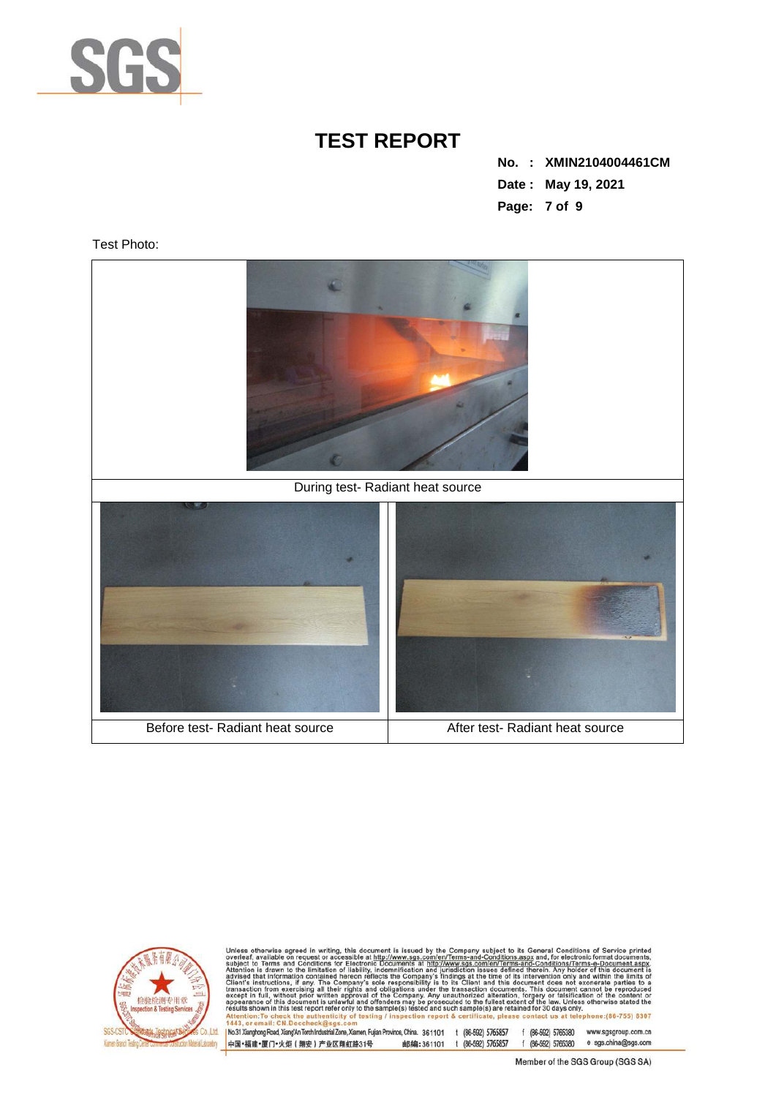

**No. : XMIN2104004461CM Date : May 19, 2021 Page: 7 of 9** 

Test Photo:





Unless otherwise agreed in witting, this document is issued by the Company subject to its General Conditions of Service printed overteaf, available on request or accessible at http://www.sgs.com/en/Terms-and-Conditions.as  $II: CND$ 

No.31 Xianghong Road, Xiang/An Torch Industrial Zone, Xiamen, Fujian Province, China. 361101 t (86-592) 5765857 f (86-592) 5765380 www.sgsgroup.com.cn 邮编:361101 t (86-592) 5765857 f (86-592) 5765380 e sgs.china@sgs.com 中国·福建·厦门·火炬 (翔安) 产业区翔虹路31号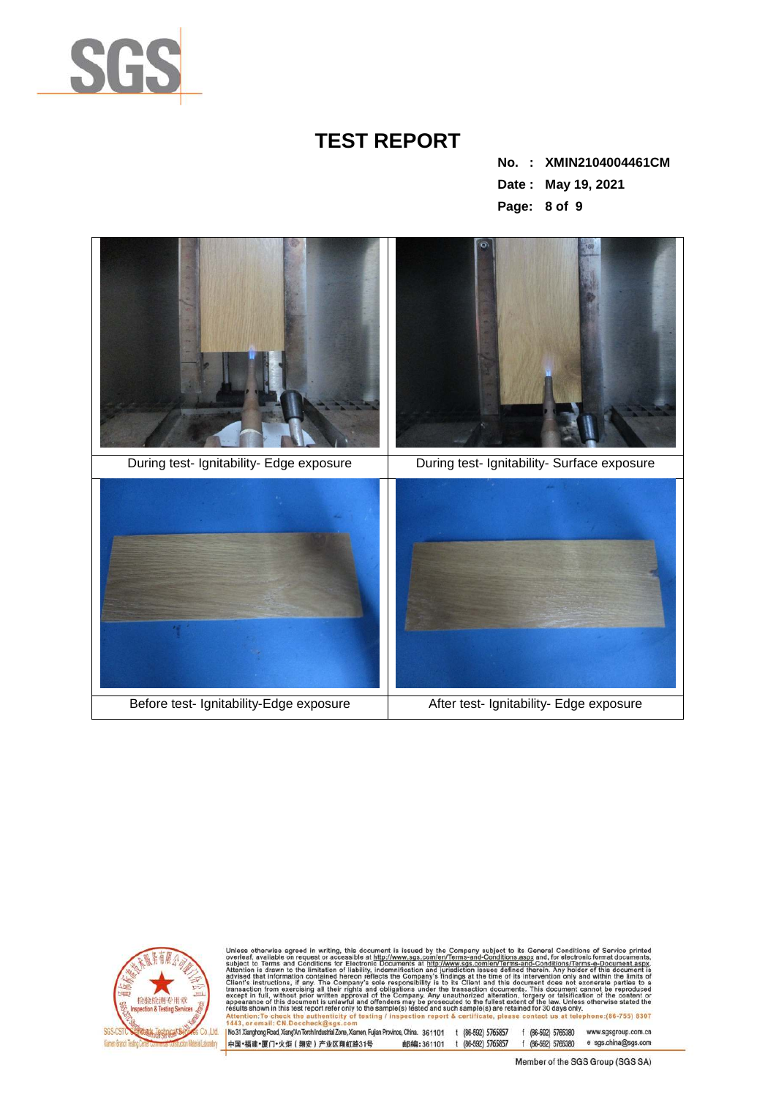

**No. : XMIN2104004461CM Date : May 19, 2021 Page: 8 of 9** 





Unless otherwise agreed in writing, this document is issued by the Company subject to its General Conditions of Service printed overteaf, available on request or accessible at http://www.sgs.com/en/Terms-and-Conditions.as

No.31 Xianghong Road, Xiang/An Torch Industrial Zone, Xiamen, Fujian Province, China. 361101 t (86-592) 5765857 f (86-592) 5765380 www.sgsgroup.com.cn 邮编:361101 t (86-592) 5765857 f (86-592) 5765380 e sgs.china@sgs.com 中国·福建·厦门·火炬 (翔安) 产业区翔虹路31号